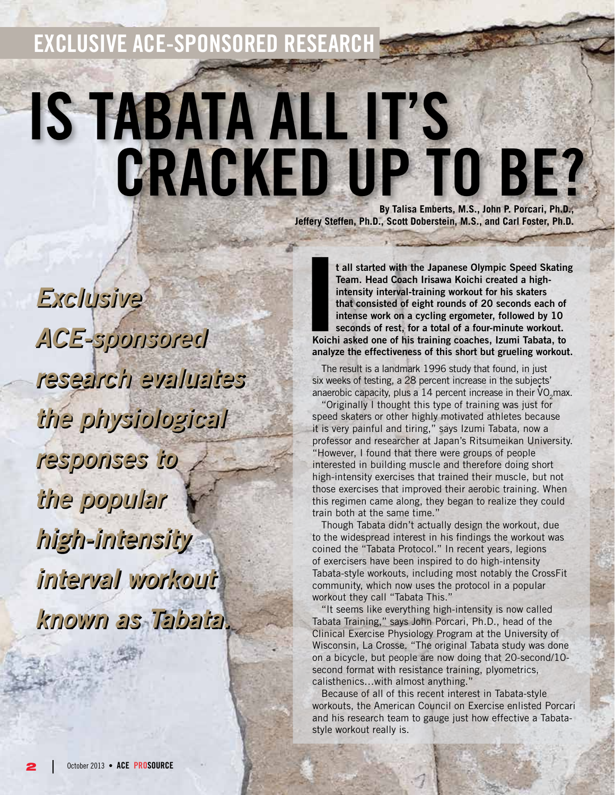**Exclusive ACE-sponsored Research**

# **IS TABATA ALL IT'S<br>CRACKED UP TO BE? By Talisa Emberts, M.S., John P. Porcari, Ph.D.,**

**Jeffery Steffen, Ph.D., Scott Doberstein, M.S., and Carl Foster, Ph.D.**

*Exclusive ACE-sponsored research evaluates the physiological responses to the popular high-intensity interval workout known as Tabata.*

**I**<br>**Koich t all started with the Japanese Olympic Speed Skating Team. Head Coach Irisawa Koichi created a highintensity interval-training workout for his skaters that consisted of eight rounds of 20 seconds each of intense work on a cycling ergometer, followed by 10 seconds of rest, for a total of a four-minute workout. Koichi asked one of his training coaches, Izumi Tabata, to analyze the effectiveness of this short but grueling workout.**

The result is a landmark 1996 study that found, in just six weeks of testing, a 28 percent increase in the subjects' anaerobic capacity, plus a 14 percent increase in their  $\dot{v}_{O_2}$ max.

"Originally I thought this type of training was just for speed skaters or other highly motivated athletes because it is very painful and tiring," says Izumi Tabata, now a professor and researcher at Japan's Ritsumeikan University. "However, I found that there were groups of people interested in building muscle and therefore doing short high-intensity exercises that trained their muscle, but not those exercises that improved their aerobic training. When this regimen came along, they began to realize they could train both at the same time."

Though Tabata didn't actually design the workout, due to the widespread interest in his findings the workout was coined the "Tabata Protocol." In recent years, legions of exercisers have been inspired to do high-intensity Tabata-style workouts, including most notably the CrossFit community, which now uses the protocol in a popular workout they call "Tabata This."

"It seems like everything high-intensity is now called Tabata Training," says John Porcari, Ph.D., head of the Clinical Exercise Physiology Program at the University of Wisconsin, La Crosse. "The original Tabata study was done on a bicycle, but people are now doing that 20-second/10 second format with resistance training, plyometrics, calisthenics…with almost anything."

Because of all of this recent interest in Tabata-style workouts, the American Council on Exercise enlisted Porcari and his research team to gauge just how effective a Tabatastyle workout really is.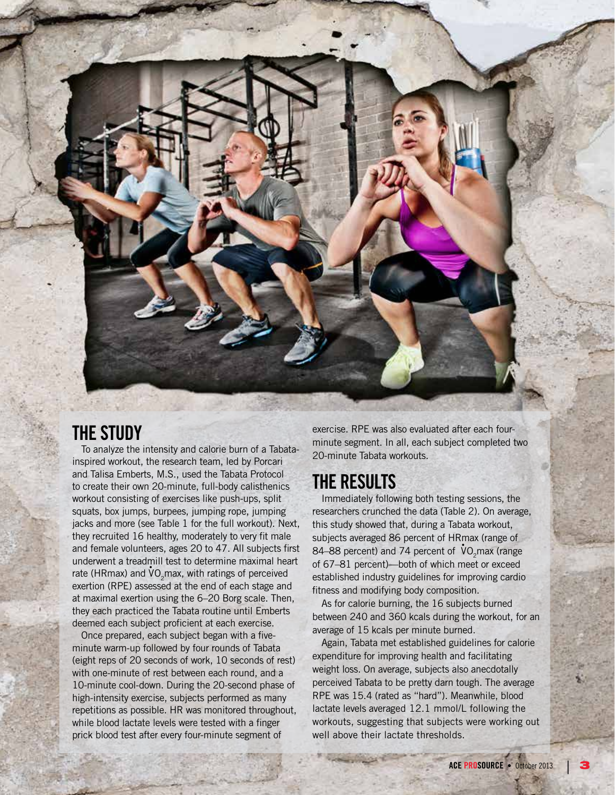## **THE STUDY**

To analyze the intensity and calorie burn of a Tabatainspired workout, the research team, led by Porcari and Talisa Emberts, M.S., used the Tabata Protocol to create their own 20-minute, full-body calisthenics workout consisting of exercises like push-ups, split squats, box jumps, burpees, jumping rope, jumping jacks and more (see Table 1 for the full workout). Next, they recruited 16 healthy, moderately to very fit male and female volunteers, ages 20 to 47. All subjects first underwent a treadmill test to determine maximal heart rate (HRmax) and  $\mathsf{VO}_2$ max, with ratings of perceived exertion (RPE) assessed at the end of each stage and at maximal exertion using the 6–20 Borg scale. Then, they each practiced the Tabata routine until Emberts deemed each subject proficient at each exercise.

Once prepared, each subject began with a fiveminute warm-up followed by four rounds of Tabata (eight reps of 20 seconds of work, 10 seconds of rest) with one-minute of rest between each round, and a 10-minute cool-down. During the 20-second phase of high-intensity exercise, subjects performed as many repetitions as possible. HR was monitored throughout, while blood lactate levels were tested with a finger prick blood test after every four-minute segment of

exercise. RPE was also evaluated after each fourminute segment. In all, each subject completed two 20-minute Tabata workouts.

## **THE RESULTS**

Immediately following both testing sessions, the researchers crunched the data (Table 2). On average, this study showed that, during a Tabata workout, subjects averaged 86 percent of HRmax (range of 84–88 percent) and 74 percent of  $\mathsf{V} \mathsf{O}_2$  max (range of 67–81 percent)—both of which meet or exceed established industry guidelines for improving cardio fitness and modifying body composition.

As for calorie burning, the 16 subjects burned between 240 and 360 kcals during the workout, for an average of 15 kcals per minute burned.

Again, Tabata met established guidelines for calorie expenditure for improving health and facilitating weight loss. On average, subjects also anecdotally perceived Tabata to be pretty darn tough. The average RPE was 15.4 (rated as "hard"). Meanwhile, blood lactate levels averaged 12.1 mmol/L following the workouts, suggesting that subjects were working out well above their lactate thresholds.